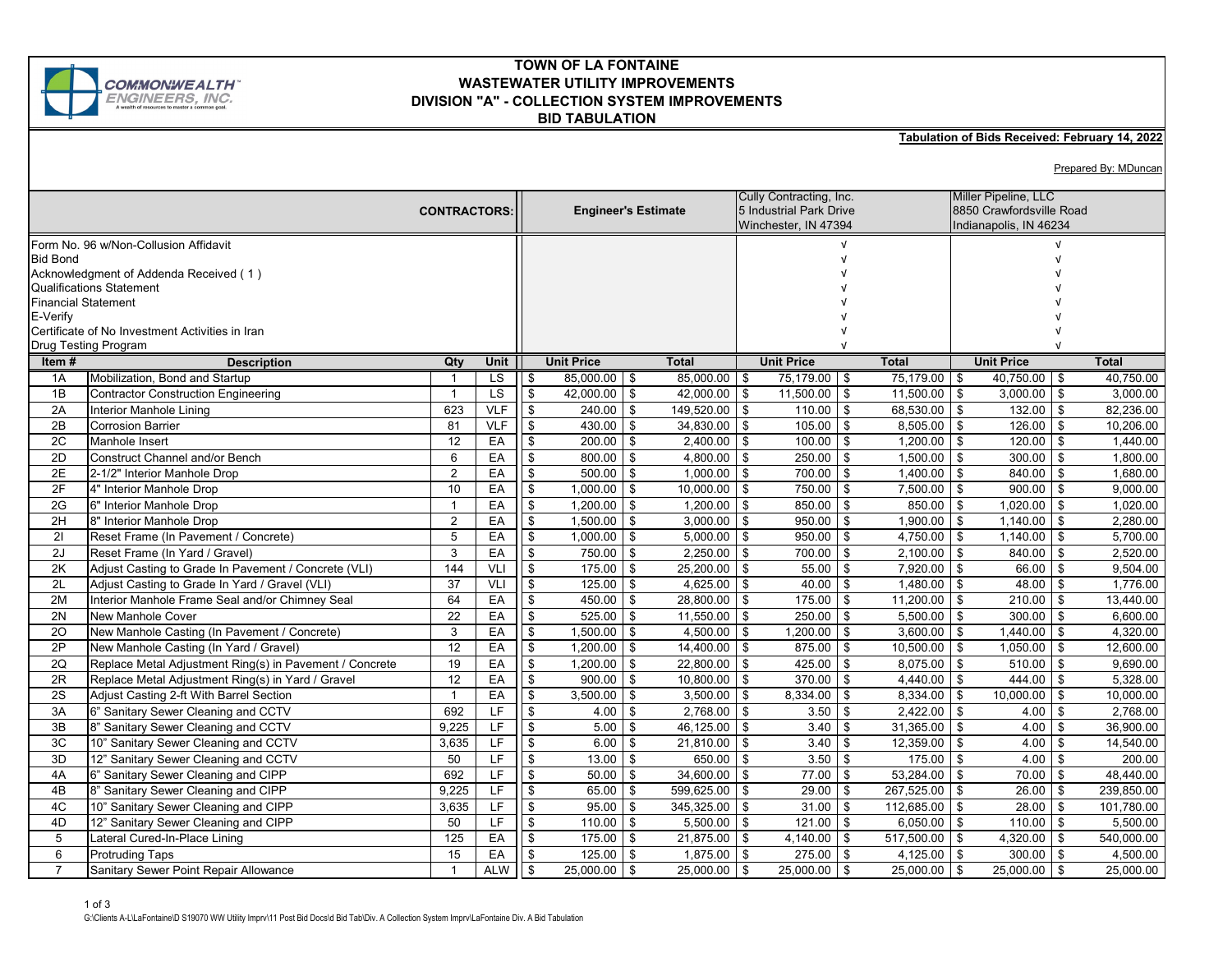

## **TOWN OF LA FONTAINE WASTEWATER UTILITY IMPROVEMENTS DIVISION "A" - COLLECTION SYSTEM IMPROVEMENTS BID TABULATION**

## **Tabulation of Bids Received: February 14, 2022**

Prepared By: MDuncan

| <b>CONTRACTORS:</b>                                         |                                                         |                |                 |                         | <b>Engineer's Estimate</b>          |                  |          | Cully Contracting, Inc.<br>5 Industrial Park Drive<br>Winchester, IN 47394 |                | Miller Pipeline, LLC<br>8850 Crawfordsville Road<br>Indianapolis, IN 46234 |      |              |
|-------------------------------------------------------------|---------------------------------------------------------|----------------|-----------------|-------------------------|-------------------------------------|------------------|----------|----------------------------------------------------------------------------|----------------|----------------------------------------------------------------------------|------|--------------|
|                                                             | Form No. 96 w/Non-Collusion Affidavit                   |                |                 |                         |                                     |                  |          | $\sqrt{ }$                                                                 |                |                                                                            |      |              |
| <b>Bid Bond</b>                                             |                                                         |                |                 |                         |                                     |                  |          |                                                                            |                |                                                                            |      |              |
| Acknowledgment of Addenda Received (1)                      |                                                         |                |                 |                         |                                     |                  |          |                                                                            |                |                                                                            |      |              |
| <b>Qualifications Statement</b>                             |                                                         |                |                 |                         |                                     |                  |          |                                                                            |                |                                                                            |      |              |
| <b>Financial Statement</b>                                  |                                                         |                |                 |                         |                                     |                  |          |                                                                            |                |                                                                            |      |              |
| E-Verify<br>Certificate of No Investment Activities in Iran |                                                         |                |                 |                         |                                     |                  |          |                                                                            |                |                                                                            |      |              |
| Drug Testing Program                                        |                                                         |                |                 |                         |                                     |                  |          |                                                                            |                |                                                                            |      |              |
| Item#                                                       | <b>Description</b>                                      | Qty            | <b>Unit</b>     |                         | <b>Unit Price</b>                   | <b>Total</b>     |          | <b>Unit Price</b>                                                          | <b>Total</b>   | <b>Unit Price</b>                                                          |      | <b>Total</b> |
| 1A                                                          | Mobilization, Bond and Startup                          |                | <b>LS</b>       | <b>S</b>                | $85,000.00$ \ \$                    | $85,000.00$ \ \$ |          | 75,179.00<br><b>\$</b>                                                     | 75,179.00 \$   | $40,750.00$ \$                                                             |      | 40,750.00    |
| 1B                                                          | <b>Contractor Construction Engineering</b>              |                | $\overline{LS}$ | $\mathfrak s$           | $42,000.00$ \$                      | 42.000.00        | l \$     | 11,500.00<br>\$                                                            | 11,500.00      | $\boldsymbol{\mathsf{s}}$<br>3,000.00                                      | - \$ | 3.000.00     |
| 2A                                                          | Interior Manhole Lining                                 | 623            | <b>VLF</b>      | \$                      | 240.00<br>\$                        | 149,520.00 \$    |          | 110.00<br>\$                                                               | 68,530.00      | \$<br>132.00                                                               | -\$  | 82,236.00    |
| 2B                                                          | <b>Corrosion Barrier</b>                                | 81             | <b>VLF</b>      | \$                      | $430.00$ \$                         | $34,830.00$ \$   |          | 105.00<br>\$                                                               | 8,505.00       | \$<br>126.00                                                               | \$   | 10,206.00    |
| 2C                                                          | Manhole Insert                                          | 12             | EA              | \$                      | $200.00$ \$                         | $2,400.00$ \$    |          | 100.00<br>\$                                                               | 1,200.00       | \$<br>120.00                                                               | \$   | 1,440.00     |
| 2D                                                          | <b>Construct Channel and/or Bench</b>                   | 6              | EA              | \$                      | $800.00$ \ \$                       | $4.800.00$ \$    |          | 250.00<br>$\mathfrak{s}$                                                   | 1.500.00       | $\mathfrak{s}$<br>300.00                                                   | \$   | 1.800.00     |
| 2E                                                          | 2-1/2" Interior Manhole Drop                            | $\overline{2}$ | EA              | \$                      | $\overline{500.00}$ \$              | $1,000.00$ \$    |          | 700.00<br>\$                                                               | 1,400.00       | \$<br>840.00                                                               | \$   | 1,680.00     |
| 2F                                                          | 4" Interior Manhole Drop                                | 10             | EA              | \$                      | $1,000.00$ \$                       | $10,000.00$ \$   |          | 750.00<br>\$                                                               | 7,500.00       | 900.00<br>\$                                                               | l \$ | 9,000.00     |
| 2G                                                          | 6" Interior Manhole Drop                                |                | EA              | \$                      | $1,200.00$ \$                       | 1,200.00         | \$       | 850.00<br>\$                                                               | 850.00         | \$<br>1,020.00                                                             | \$   | 1,020.00     |
| 2H                                                          | 8" Interior Manhole Drop                                | $\overline{2}$ | EA              | \$                      | 1,500.00<br>\$                      | $3,000.00$ \$    |          | 950.00<br>\$                                                               | 1,900.00       | \$<br>1,140.00                                                             | \$   | 2,280.00     |
| 21                                                          | Reset Frame (In Pavement / Concrete)                    | 5              | EA              | \$                      | $1,000.00$ \$                       | $5,000.00$ \$    |          | 950.00<br>\$                                                               | 4,750.00       | 1,140.00<br>\$                                                             | \$   | 5,700.00     |
| 2J                                                          | Reset Frame (In Yard / Gravel)                          | 3              | EA              | \$                      | 750.00 \$                           | 2,250.00         | \$       | 700.00<br>\$                                                               | 2,100.00       | \$<br>840.00                                                               |      | 2,520.00     |
| 2K                                                          | Adjust Casting to Grade In Pavement / Concrete (VLI)    | 144            | VLI             | \$                      | 175.00<br>\$                        | 25,200.00        | <b>S</b> | 55.00<br>\$                                                                | 7,920.00       | $\mathfrak{S}$<br>66.00                                                    | \$   | 9,504.00     |
| 2L                                                          | Adjust Casting to Grade In Yard / Gravel (VLI)          | 37             | VLI             | \$                      | $125.00$ \$                         | $4,625.00$ \$    |          | 40.00<br>\$                                                                | 1,480.00       | \$<br>48.00                                                                | \$   | 1,776.00     |
| 2M                                                          | Interior Manhole Frame Seal and/or Chimney Seal         | 64             | EA              | \$                      | 450.00 \$                           | 28,800.00 \$     |          | 175.00<br>\$                                                               | 11,200.00      | \$<br>210.00                                                               | - \$ | 13,440.00    |
| 2N                                                          | <b>New Manhole Cover</b>                                | 22             | EA              | \$                      | 525.00<br>\$                        | 11,550.00        | \$       | 250.00<br>\$                                                               | 5.500.00       | \$<br>300.00                                                               | \$   | 6.600.00     |
| 20                                                          | New Manhole Casting (In Pavement / Concrete)            | 3              | EA              | \$                      | 1,500.00<br>\$                      | 4,500.00         | l \$     | 1,200.00<br>\$                                                             | 3,600.00       | \$<br>1,440.00                                                             | \$   | 4,320.00     |
| 2P                                                          | New Manhole Casting (In Yard / Gravel)                  | 12             | EA              | \$                      | $1,200.00$ \$                       | 14,400.00 \$     |          | 875.00<br>\$                                                               | 10,500.00      | \$<br>1,050.00                                                             | \$   | 12,600.00    |
| 2Q                                                          | Replace Metal Adjustment Ring(s) in Pavement / Concrete | 19             | EA              | \$                      | $1,200.00$ \$                       | $22,800.00$ \$   |          | 425.00<br>\$                                                               | 8,075.00       | \$<br>510.00                                                               | -\$  | 9,690.00     |
| 2R                                                          | Replace Metal Adjustment Ring(s) in Yard / Gravel       | 12             | EA              | \$                      | $900.00$ \$                         | $10,800.00$ \$   |          | 370.00<br>\$                                                               | 4,440.00       | \$<br>444.00                                                               | -\$  | 5,328.00     |
| 2S                                                          | Adjust Casting 2-ft With Barrel Section                 | $\mathbf{1}$   | EA              | \$                      | $3,500.00$ \$                       | $3,500.00$ \$    |          | 8,334.00<br>\$                                                             | 8,334.00       | \$<br>10,000.00                                                            |      | 10,000.00    |
| 3A                                                          | 6" Sanitary Sewer Cleaning and CCTV                     | 692            | LF              | \$                      | $4.00$ \$                           | 2,768.00 \$      |          | 3.50<br>\$                                                                 | 2,422.00       | \$<br>4.00                                                                 | \$   | 2,768.00     |
| 3B                                                          | 8" Sanitary Sewer Cleaning and CCTV                     | 9,225          | LF              | \$                      | \$<br>5.00                          | 46,125.00        | l \$     | 3.40<br>\$                                                                 | 31,365.00      | $\mathfrak{S}$                                                             | 4.00 | 36.900.00    |
| 3C                                                          | 10" Sanitary Sewer Cleaning and CCTV                    | 3,635          | LF              | \$                      | 6.00<br>\$                          | $21,810.00$ \$   |          | 3.40<br>\$                                                                 | 12,359.00      | \$<br>4.00                                                                 |      | 14,540.00    |
| 3D                                                          | 12" Sanitary Sewer Cleaning and CCTV                    | 50             | LF              | \$                      | 13.00<br>\$                         | $650.00$ \ \$    |          | 3.50<br>\$                                                                 | 175.00         | \$<br>4.00                                                                 | -\$  | 200.00       |
| 4A                                                          | 6" Sanitary Sewer Cleaning and CIPP                     | 692            | LF              | $\overline{\mathbf{s}}$ | \$<br>50.00                         | $34,600.00$ \$   |          | 77.00<br>\$                                                                | 53,284.00      | \$<br>70.00                                                                |      | 48,440.00    |
| 4B                                                          | 8" Sanitary Sewer Cleaning and CIPP                     | 9.225          | <b>LF</b>       | \$                      | 65.00<br>\$                         | 599,625.00 \$    |          | 29.00<br>\$                                                                | 267,525.00     | \$<br>26.00                                                                | \$   | 239.850.00   |
| 4C                                                          | 10" Sanitary Sewer Cleaning and CIPP                    | 3,635          | LF              | \$                      | 95.00<br>$\boldsymbol{\mathsf{s}}$  | 345,325.00 \$    |          | \$<br>31.00                                                                | 112,685.00     | \$<br>28.00                                                                | \$   | 101,780.00   |
| 4D                                                          | 12" Sanitary Sewer Cleaning and CIPP                    | 50             | LF              | \$                      | $\boldsymbol{\mathsf{s}}$<br>110.00 | $5,500.00$ \$    |          | 121.00<br>\$                                                               | 6,050.00       | \$<br>110.00                                                               | -\$  | 5,500.00     |
| 5                                                           | Lateral Cured-In-Place Lining                           | 125            | EA              | \$                      | $\boldsymbol{\mathsf{s}}$<br>175.00 | $21,875.00$ \$   |          | 4,140.00<br>\$                                                             | 517,500.00     | \$<br>4,320.00                                                             | l \$ | 540,000.00   |
| 6                                                           | <b>Protruding Taps</b>                                  | 15             | EA              | \$                      | $125.00$ \$                         | $1,875.00$ \$    |          | 275.00<br>\$                                                               | 4,125.00       | 300.00<br>\$                                                               | l \$ | 4,500.00     |
| $\overline{7}$                                              | Sanitary Sewer Point Repair Allowance                   | $\mathbf{1}$   | <b>ALW</b>      | <b>S</b>                | 25,000.00 \$                        | $25,000.00$ \$   |          | 25,000.00<br>l \$                                                          | $25,000.00$ \$ | $25,000.00$ \$                                                             |      | 25,000.00    |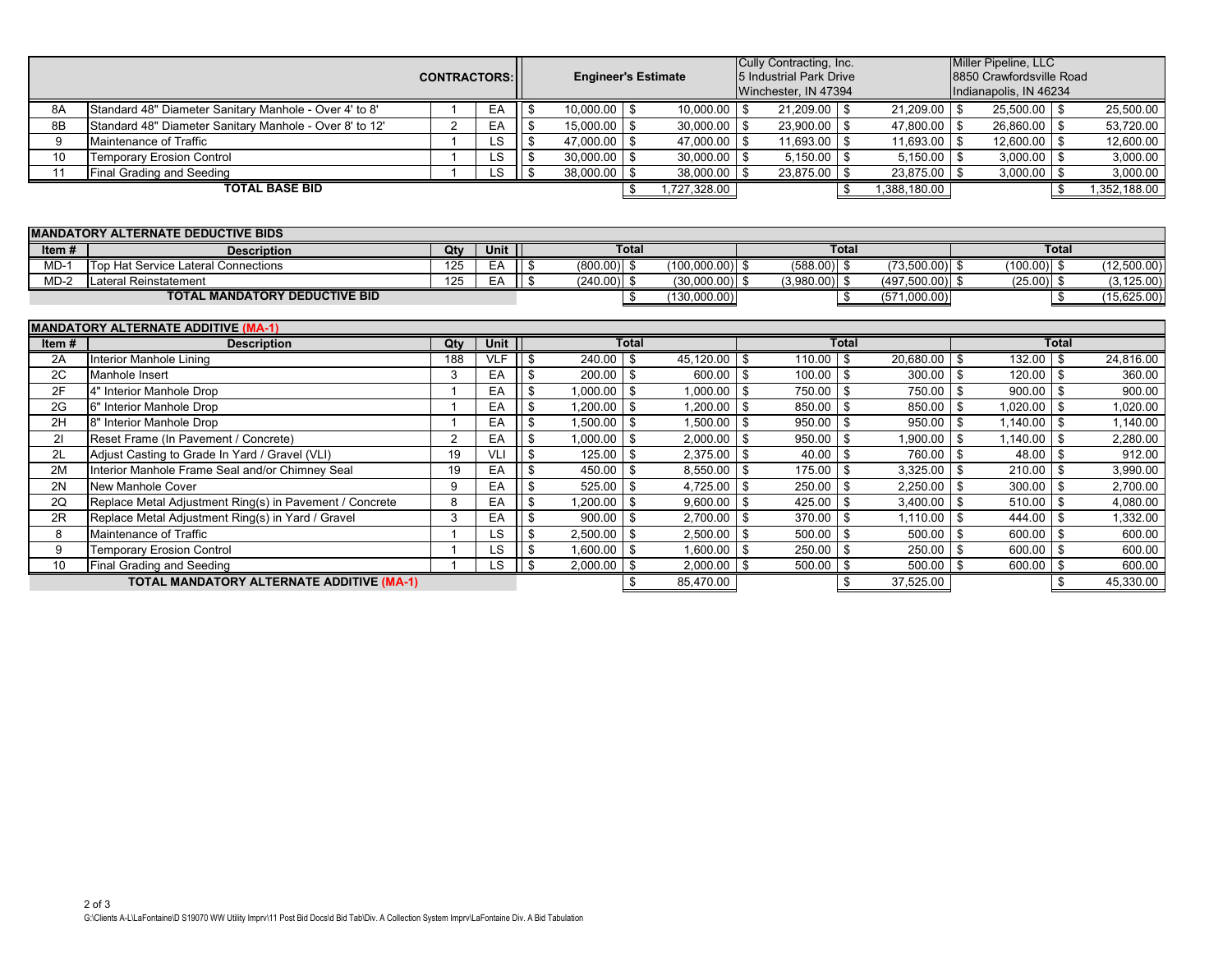|                                            |                                                                                      | <b>CONTRACTORS:</b> |             |                | <b>Engineer's Estimate</b> |                                     |                | Cully Contracting, Inc.<br>5 Industrial Park Drive<br>Winchester, IN 47394 |                                  | Miller Pipeline, LLC<br>8850 Crawfordsville Road<br>Indianapolis, IN 46234 |                                 |  |
|--------------------------------------------|--------------------------------------------------------------------------------------|---------------------|-------------|----------------|----------------------------|-------------------------------------|----------------|----------------------------------------------------------------------------|----------------------------------|----------------------------------------------------------------------------|---------------------------------|--|
| 8A                                         | Standard 48" Diameter Sanitary Manhole - Over 4' to 8'                               |                     | EA          | \$             | $10,000.00$ \$             | 10,000.00                           | \$             | 21,209.00 \$                                                               | 21,209.00                        | <b>S</b><br>$25,500.00$ \$                                                 | 25,500.00                       |  |
| 8B                                         | Standard 48" Diameter Sanitary Manhole - Over 8' to 12'                              | 2                   | EA          | \$             | $15,000.00$ \$             | 30,000.00                           | \$             | $23,900.00$ \$                                                             | $47,800.00$ \$                   | 26,860.00 \$                                                               | 53,720.00                       |  |
| 9                                          | Maintenance of Traffic                                                               |                     | LS          | \$             | 47,000.00                  | 47,000.00<br>l \$                   | \$             | 11,693.00<br>-\$                                                           | 11,693.00                        | \$<br>12,600.00                                                            | 12,600.00<br>$\sqrt{3}$         |  |
| 10                                         | <b>Temporary Erosion Control</b>                                                     |                     | <b>LS</b>   | \$             | $30,000.00$ \$             | 30,000.00                           | \$             | $5,150.00$ \ \$                                                            | $5,150.00$ \$                    | $3,000.00$ \$                                                              | 3,000.00                        |  |
| 11                                         | Final Grading and Seeding                                                            |                     | <b>LS</b>   | \$             | $38,000.00$ \$             | 38,000.00                           | \$             | 23,875.00<br>\$                                                            | 23,875.00                        | $3,000.00$ \$<br>l \$                                                      | 3,000.00                        |  |
|                                            | <b>TOTAL BASE BID</b>                                                                |                     |             |                |                            | \$<br>1,727,328.00                  |                | \$                                                                         | 1,388,180.00                     |                                                                            | \$<br>1,352,188.00              |  |
|                                            | <b>MANDATORY ALTERNATE DEDUCTIVE BIDS</b>                                            |                     |             |                |                            |                                     |                |                                                                            |                                  |                                                                            |                                 |  |
| Item#                                      | <b>Description</b>                                                                   | Qty                 | <b>Unit</b> |                |                            | <b>Total</b>                        |                | <b>Total</b>                                                               |                                  |                                                                            | <b>Total</b>                    |  |
| $MD-1$                                     | Top Hat Service Lateral Connections                                                  | 125                 | EA          | \$             | $(800.00)$ \$              | $(100,000.00)$ \$                   |                | $(588.00)$ \$                                                              | $(73,500.00)$ \$                 | $(100.00)$ \$                                                              | (12,500.00)                     |  |
| $MD-2$                                     | Lateral Reinstatement                                                                | 125                 | EA          | \$             | $(240.00)$ \$              | $(30,000.00)$ \$                    |                | $(3,980.00)$ \$                                                            | $(497,500.00)$ \$                | $(25.00)$ \$                                                               | (3, 125.00)                     |  |
|                                            | <b>TOTAL MANDATORY DEDUCTIVE BID</b>                                                 |                     |             |                |                            | (130,000.00)<br>- \$                |                | \$                                                                         | (571,000.00)                     |                                                                            | (15,625.00)<br>- \$             |  |
|                                            |                                                                                      |                     |             |                |                            |                                     |                |                                                                            |                                  |                                                                            |                                 |  |
| <b>MANDATORY ALTERNATE ADDITIVE (MA-1)</b> |                                                                                      |                     |             |                |                            |                                     |                |                                                                            |                                  |                                                                            |                                 |  |
|                                            |                                                                                      |                     |             |                |                            |                                     |                |                                                                            |                                  |                                                                            |                                 |  |
| Item#                                      | <b>Description</b>                                                                   | Qty                 | Unit        |                |                            | <b>Total</b>                        |                | <b>Total</b>                                                               |                                  |                                                                            | <b>Total</b>                    |  |
| 2A                                         | Interior Manhole Lining                                                              | 188                 | <b>VLF</b>  | \$             | $240.00$ \$                | 45,120.00                           | \$             | 110.00<br>l \$                                                             | 20,680.00                        | $132.00$ \ \$<br>l \$                                                      | 24,816.00                       |  |
| 2C                                         | Manhole Insert                                                                       | 3                   | EA          | \$             | $200.00$ \$                | 600.00                              | \$             | 100.00<br>-\$                                                              | $300.00$ \ \$                    | $120.00$ \ \$                                                              | 360.00                          |  |
| 2F                                         | 4" Interior Manhole Drop                                                             | $\mathbf{1}$        | EA          | \$             | 1,000.00                   | <b>\$</b><br>1,000.00               | \$             | 750.00<br>\$                                                               | 750.00                           | $\mathsf{s}$<br>900.00                                                     | <b>S</b><br>900.00              |  |
| 2G                                         | 6" Interior Manhole Drop                                                             |                     | EA          | \$             | 1.200.00                   | - \$<br>1.200.00                    | \$             | 850.00<br>\$                                                               | 850.00                           | $\mathfrak{S}$<br>1,020.00                                                 | - \$<br>1,020.00                |  |
| 2H                                         | 8" Interior Manhole Drop                                                             | $\mathbf 1$         | EA          | \$             | $1.500.00$ \ \$            | 1,500.00                            | \$             | 950.00<br>-\$                                                              | 950.00                           | \$<br>$1,140.00$ \$                                                        | 1,140.00                        |  |
| 21                                         | Reset Frame (In Pavement / Concrete)                                                 | $\overline{2}$      | EA          | \$             | 1,000.00                   | 2,000.00<br>l \$                    | \$             | 950.00<br>-\$                                                              | 1,900.00                         | \$<br>1.140.00                                                             | <b>S</b><br>2,280.00            |  |
| 2L                                         | Adjust Casting to Grade In Yard / Gravel (VLI)                                       | 19                  | <b>VLI</b>  | \$             | 125.00                     | 2,375.00<br>-\$                     | \$             | 40.00<br>\$                                                                | 760.00                           | \$<br>48.00                                                                | 912.00<br>-\$                   |  |
| 2M                                         | Interior Manhole Frame Seal and/or Chimney Seal                                      | 19                  | EA          | \$             | 450.00                     | 8,550.00<br>-\$                     | \$             | 175.00<br>\$                                                               | 3,325.00                         | \$<br>210.00                                                               | 3,990.00<br>-\$                 |  |
| 2N                                         | <b>New Manhole Cover</b>                                                             | 9                   | EA          | \$             | 525.00                     | 4,725.00<br>- \$                    | \$             | 250.00<br>\$                                                               | 2,250.00                         | $\mathfrak{S}$<br>300.00                                                   | 2,700.00<br>- \$                |  |
| 2Q                                         | Replace Metal Adjustment Ring(s) in Pavement / Concrete                              | 8                   | EA          | \$             | 1.200.00                   | l \$<br>9,600.00                    | \$             | 425.00<br>-\$                                                              | 3,400.00                         | \$<br>510.00                                                               | -\$<br>4,080.00                 |  |
| 2R                                         | Replace Metal Adjustment Ring(s) in Yard / Gravel                                    | 3                   | EA          | \$             | 900.00                     | l \$<br>2,700.00                    | \$             | 370.00<br>-\$                                                              | 1,110.00                         | \$<br>444.00                                                               | <b>S</b><br>1,332.00            |  |
| 8                                          | Maintenance of Traffic                                                               |                     | LS          | \$             | 2,500.00                   | 2,500.00<br>-\$                     | \$             | 500.00<br>-\$                                                              | 500.00                           | \$<br>600.00                                                               | 600.00<br>-\$                   |  |
| 9                                          | <b>Temporary Erosion Control</b>                                                     |                     | LS          | \$             | $1,600.00$ \$              | 1,600.00                            | \$             | 250.00<br>- \$                                                             | 250.00                           | $\sqrt{3}$<br>$600.00$ \$                                                  | 600.00                          |  |
| 10                                         | <b>Final Grading and Seeding</b><br><b>TOTAL MANDATORY ALTERNATE ADDITIVE (MA-1)</b> |                     | <b>LS</b>   | $\mathfrak{L}$ | 2,000.00                   | - \$<br>2,000.00<br>85,470.00<br>\$ | $\mathfrak{L}$ | 500.00<br>-\$<br>\$                                                        | 500.00<br>$\overline{37},525.00$ | $\mathbf{s}$<br>600.00                                                     | \$<br>600.00<br>45,330.00<br>\$ |  |